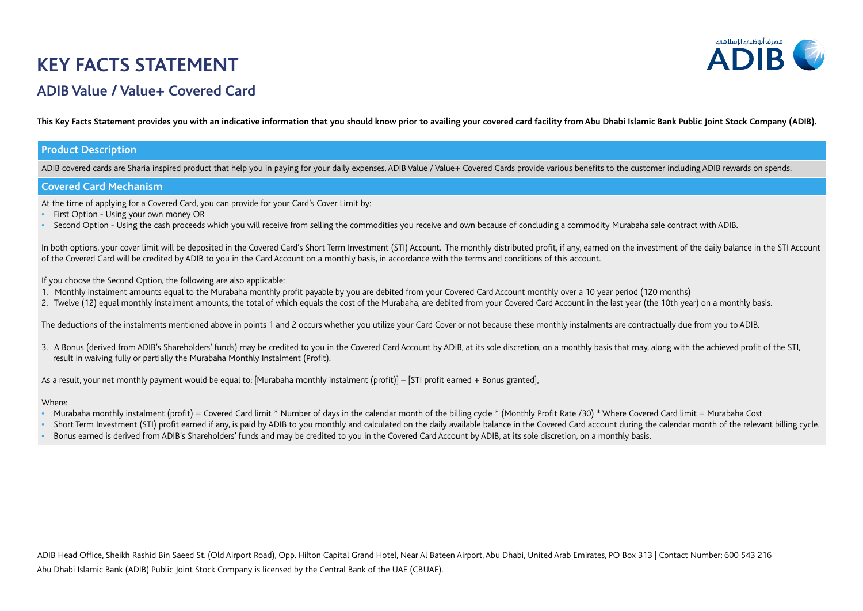# **KEY FACTS STATEMENT**



# **ADIB Value / Value+ Covered Card**

This Key Facts Statement provides you with an indicative information that you should know prior to availing your covered card facility from Abu Dhabi Islamic Bank Public Ioint Stock Company (ADIB).

### **Product Description**

ADIB covered cards are Sharia inspired product that help you in paying for your daily expenses. ADIB Value / Value+ Covered Cards provide various benefits to the customer including ADIB rewards on spends.

### **Covered Card Mechanism**

At the time of applying for a Covered Card, you can provide for your Card's Cover Limit by:

- **•** First Option Using your own money OR
- **•** Second Option Using the cash proceeds which you will receive from selling the commodities you receive and own because of concluding a commodity Murabaha sale contract with ADIB.

In both options, your cover limit will be deposited in the Covered Card's Short Term Investment (STI) Account. The monthly distributed profit, if any, earned on the investment of the daily balance in the STI Account of the Covered Card will be credited by ADIB to you in the Card Account on a monthly basis, in accordance with the terms and conditions of this account.

If you choose the Second Option, the following are also applicable:

- 1. Monthly instalment amounts equal to the Murabaha monthly profit payable by you are debited from your Covered Card Account monthly over a 10 year period (120 months)
- 2. Twelve (12) equal monthly instalment amounts, the total of which equals the cost of the Murabaha, are debited from your Covered Card Account in the last year (the 10th year) on a monthly basis.

The deductions of the instalments mentioned above in points 1 and 2 occurs whether you utilize your Card Cover or not because these monthly instalments are contractually due from you to ADIB.

3. A Bonus (derived from ADIB's Shareholders' funds) may be credited to you in the Covered Card Account by ADIB, at its sole discretion, on a monthly basis that may, along with the achieved profit of the STI, result in waiving fully or partially the Murabaha Monthly Instalment (Profit).

As a result, your net monthly payment would be equal to: [Murabaha monthly instalment (profit)] – [STI profit earned + Bonus granted],

#### Where:

**•** Murabaha monthly instalment (profit) = Covered Card limit \* Number of days in the calendar month of the billing cycle \* (Monthly Profit Rate /30) \* Where Covered Card limit = Murabaha Cost

Short Term Investment (STI) profit earned if any, is paid by ADIB to you monthly and calculated on the daily available balance in the Covered Card account during the calendar month of the relevant billing cycle.

**•** Bonus earned is derived from ADIB's Shareholders' funds and may be credited to you in the Covered Card Account by ADIB, at its sole discretion, on a monthly basis.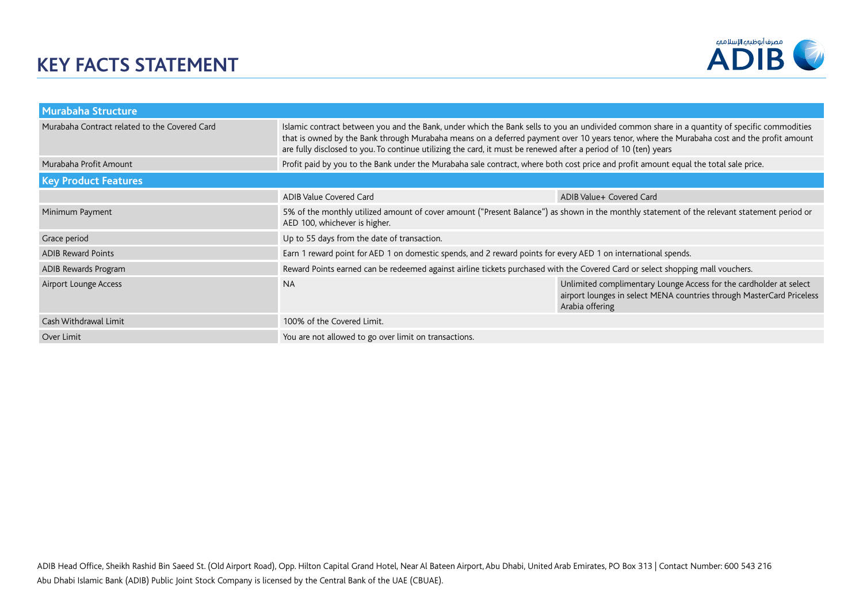

| Murabaha Structure                            |                                                                                                                                                                                                                                                                                                                                                                                                              |                                                                                                                                                                |
|-----------------------------------------------|--------------------------------------------------------------------------------------------------------------------------------------------------------------------------------------------------------------------------------------------------------------------------------------------------------------------------------------------------------------------------------------------------------------|----------------------------------------------------------------------------------------------------------------------------------------------------------------|
| Murabaha Contract related to the Covered Card | Islamic contract between you and the Bank, under which the Bank sells to you an undivided common share in a quantity of specific commodities<br>that is owned by the Bank through Murabaha means on a deferred payment over 10 years tenor, where the Murabaha cost and the profit amount<br>are fully disclosed to you. To continue utilizing the card, it must be renewed after a period of 10 (ten) years |                                                                                                                                                                |
| Murabaha Profit Amount                        | Profit paid by you to the Bank under the Murabaha sale contract, where both cost price and profit amount equal the total sale price.                                                                                                                                                                                                                                                                         |                                                                                                                                                                |
| <b>Key Product Features</b>                   |                                                                                                                                                                                                                                                                                                                                                                                                              |                                                                                                                                                                |
|                                               | ADIB Value Covered Card                                                                                                                                                                                                                                                                                                                                                                                      | ADIB Value+ Covered Card                                                                                                                                       |
| Minimum Payment                               | 5% of the monthly utilized amount of cover amount ("Present Balance") as shown in the monthly statement of the relevant statement period or<br>AED 100, whichever is higher.                                                                                                                                                                                                                                 |                                                                                                                                                                |
| Grace period                                  | Up to 55 days from the date of transaction.                                                                                                                                                                                                                                                                                                                                                                  |                                                                                                                                                                |
| <b>ADIB Reward Points</b>                     | Earn 1 reward point for AED 1 on domestic spends, and 2 reward points for every AED 1 on international spends.                                                                                                                                                                                                                                                                                               |                                                                                                                                                                |
| ADIB Rewards Program                          | Reward Points earned can be redeemed against airline tickets purchased with the Covered Card or select shopping mall vouchers.                                                                                                                                                                                                                                                                               |                                                                                                                                                                |
| Airport Lounge Access                         | <b>NA</b>                                                                                                                                                                                                                                                                                                                                                                                                    | Unlimited complimentary Lounge Access for the cardholder at select<br>airport lounges in select MENA countries through MasterCard Priceless<br>Arabia offering |
| Cash Withdrawal Limit                         | 100% of the Covered Limit.                                                                                                                                                                                                                                                                                                                                                                                   |                                                                                                                                                                |
| Over Limit                                    | You are not allowed to go over limit on transactions.                                                                                                                                                                                                                                                                                                                                                        |                                                                                                                                                                |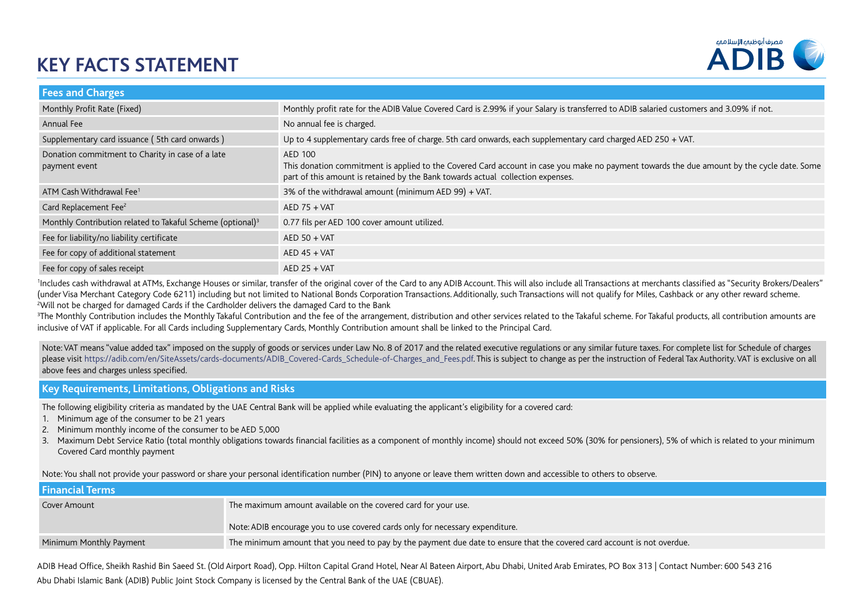# **KEY FACTS STATEMENT**



| <b>Fees and Charges</b>                                                |                                                                                                                                                                                                                                          |
|------------------------------------------------------------------------|------------------------------------------------------------------------------------------------------------------------------------------------------------------------------------------------------------------------------------------|
| Monthly Profit Rate (Fixed)                                            | Monthly profit rate for the ADIB Value Covered Card is 2.99% if your Salary is transferred to ADIB salaried customers and 3.09% if not.                                                                                                  |
| Annual Fee                                                             | No annual fee is charged.                                                                                                                                                                                                                |
| Supplementary card issuance (5th card onwards)                         | Up to 4 supplementary cards free of charge. 5th card onwards, each supplementary card charged AED 250 + VAT.                                                                                                                             |
| Donation commitment to Charity in case of a late<br>payment event      | AED 100<br>This donation commitment is applied to the Covered Card account in case you make no payment towards the due amount by the cycle date. Some<br>part of this amount is retained by the Bank towards actual collection expenses. |
| ATM Cash Withdrawal Fee <sup>1</sup>                                   | 3% of the withdrawal amount (minimum AED 99) + VAT.                                                                                                                                                                                      |
| Card Replacement Fee <sup>2</sup>                                      | $AED 75 + VAT$                                                                                                                                                                                                                           |
| Monthly Contribution related to Takaful Scheme (optional) <sup>3</sup> | 0.77 fils per AED 100 cover amount utilized.                                                                                                                                                                                             |
| Fee for liability/no liability certificate                             | $AED 50 + VAT$                                                                                                                                                                                                                           |
| Fee for copy of additional statement                                   | $AED 45 + VAT$                                                                                                                                                                                                                           |
| Fee for copy of sales receipt                                          | $AED$ 25 + VAT                                                                                                                                                                                                                           |

<sup>1</sup>Includes cash withdrawal at ATMs, Exchange Houses or similar, transfer of the original cover of the Card to any ADIB Account. This will also include all Transactions at merchants classified as "Security Brokers/Dealers" (under Visa Merchant Category Code 6211) including but not limited to National Bonds Corporation Transactions. Additionally, such Transactions will not qualify for Miles, Cashback or any other reward scheme.  $^{\text{2}}$ Will not be charged for damaged Cards if the Cardholder delivers the damaged Card to the Bank

<sup>3</sup>The Monthly Contribution includes the Monthly Takaful Contribution and the fee of the arrangement, distribution and other services related to the Takaful scheme. For Takaful products, all contribution amounts are inclusive of VAT if applicable. For all Cards including Supplementary Cards, Monthly Contribution amount shall be linked to the Principal Card.

Note: VAT means "value added tax" imposed on the supply of goods or services under Law No. 8 of 2017 and the related executive regulations or any similar future taxes. For complete list for Schedule of charges please visit https://adib.com/en/SiteAssets/cards-documents/ADIB\_Covered-Cards\_Schedule-of-Charges\_and\_Fees.pdf. This is subject to change as per the instruction of Federal Tax Authority. VAT is exclusive on all above fees and charges unless specified.

## **Key Requirements, Limitations, Obligations and Risks**

The following eligibility criteria as mandated by the UAE Central Bank will be applied while evaluating the applicant's eligibility for a covered card:

1. Minimum age of the consumer to be 21 years

- 2. Minimum monthly income of the consumer to be AED 5,000
- 3. Maximum Debt Service Ratio (total monthly obligations towards financial facilities as a component of monthly income) should not exceed 50% (30% for pensioners), 5% of which is related to your minimum Covered Card monthly payment

Note: You shall not provide your password or share your personal identification number (PIN) to anyone or leave them written down and accessible to others to observe.

| <b>Financial Terms</b>  |                                                                                                                         |  |
|-------------------------|-------------------------------------------------------------------------------------------------------------------------|--|
| Cover Amount            | The maximum amount available on the covered card for your use.                                                          |  |
|                         | Note: ADIB encourage you to use covered cards only for necessary expenditure.                                           |  |
| Minimum Monthly Payment | The minimum amount that you need to pay by the payment due date to ensure that the covered card account is not overdue. |  |